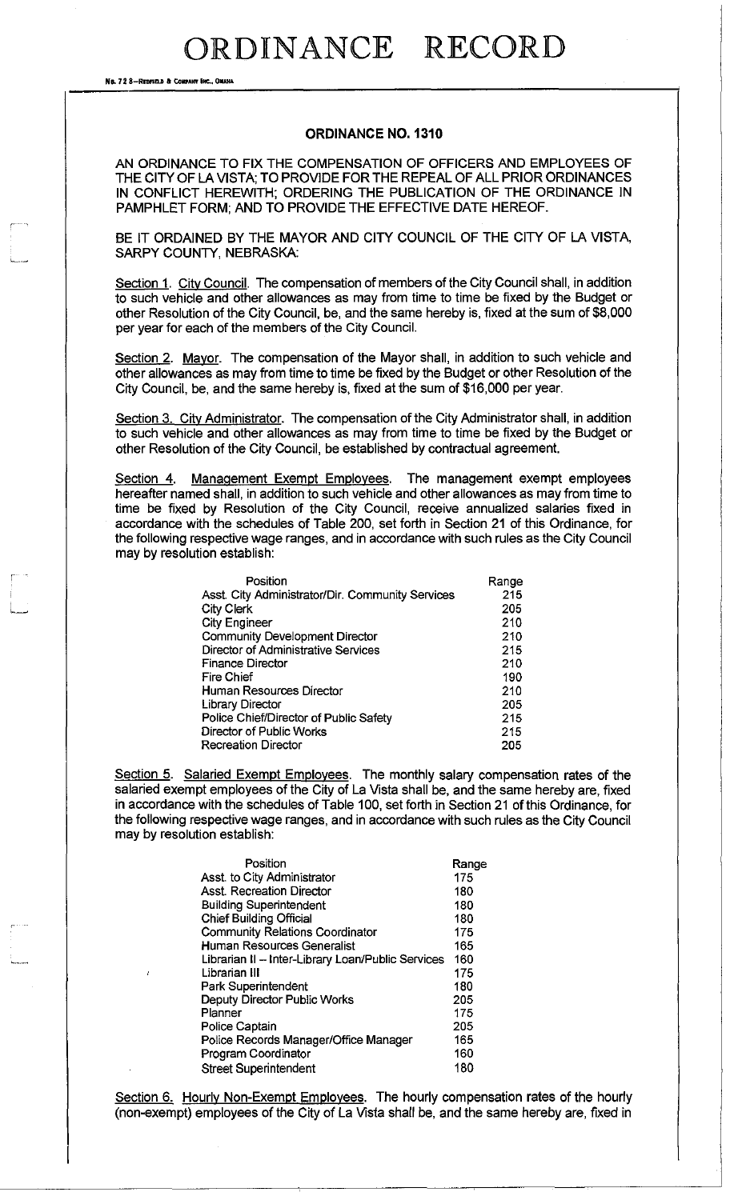No. 72 8-REOFIELD & COMPANY INC., OMAHA

سدما

#### **ORDINANCE NO. 1310**

AN ORDINANCE TO FIX THE COMPENSATION OF OFFICERS AND EMPLOYEES OF THE CITY OF LA VISTA; TO PROVIDE FOR THE REPEAL OF ALL PRIOR ORDINANCES IN CONFLICT HEREWITH; ORDERING THE PUBLICATION OF THE ORDINANCE IN PAMPHLET FORM; AND TO PROVIDE THE EFFECTIVE DATE HEREOF.

BE IT ORDAINED BY THE MAYOR AND CITY COUNCIL OF THE CITY OF LA VISTA. SARPY COUNTY, NEBRASKA:

Section 1. City Council. The compensation of members of the City Council shall, in addition to such vehicle and other allowances as may from time to time be fixed by the Budget or other Resolution of the City Council, be, and the same hereby is, fixed at the sum of \$8,000 per year for each of the members of the City Council.

Section 2. Mayor. The compensation of the Mayor shall, in addition to such vehicle and other allowances as may from time to time be fixed by the Budget or other Resolution of the City Council, be, and the same hereby is, fixed at the sum of \$16,000 per year.

Section 3. City Administrator. The compensation of the City Administrator shall, in addition to such vehicle and other allowances as may from time to time be fixed by the Budget or other Resolution of the City Council, be established by contractual agreement.

Section 4. Management Exempt Employees. The management exempt employees hereafter named shall, in addition to such vehicle and other allowances as may from time to time be fixed by Resolution of the City Council, receive annualized salaries fixed in accordance with the schedules of Table 200, set forth in Section 21 of this Ordinance, for the following respective wage ranges, and in accordance with such rules as the City Council may by resolution establish:

| Position                                         | Range |
|--------------------------------------------------|-------|
| Asst. City Administrator/Dir. Community Services | 215   |
| City Clerk                                       | 205   |
| <b>City Engineer</b>                             | 210   |
| <b>Community Development Director</b>            | 210   |
| Director of Administrative Services              | 215   |
| <b>Finance Director</b>                          | 210   |
| Fire Chief                                       | 190   |
| Human Resources Director                         | 210   |
| <b>Library Director</b>                          | 205   |
| Police Chief/Director of Public Safety           | 215   |
| Director of Public Works                         | 215   |
| <b>Recreation Director</b>                       | 205   |

Section 5. Salaried Exempt Employees. The monthly salary compensation rates of the salaried exempt employees of the City of La Vista shall be, and the same hereby are, fixed in accordance with the schedules of Table 100, set forth in Section 21 of this Ordinance, for the following respective wage ranges, and in accordance with such rules as the City Council may by resolution establish:

| Position                                          | Range |
|---------------------------------------------------|-------|
| Asst. to City Administrator                       | 175   |
| <b>Asst. Recreation Director</b>                  | 180   |
| <b>Building Superintendent</b>                    | 180   |
| <b>Chief Building Official</b>                    | 180   |
| <b>Community Relations Coordinator</b>            | 175   |
| Human Resources Generalist                        | 165   |
| Librarian II - Inter-Library Loan/Public Services | 160   |
| Librarian III                                     | 175   |
| Park Superintendent                               | 180   |
| Deputy Director Public Works                      | 205   |
| Planner                                           | 175   |
| <b>Police Captain</b>                             | 205   |
| Police Records Manager/Office Manager             | 165   |
| Program Coordinator                               | 160   |
| <b>Street Superintendent</b>                      | 180   |

Section 6. Hourly Non-Exempt Employees. The hourly compensation rates of the hourly (non-exempt) employees of the City of La Vista shall be, and the same hereby are, fixed in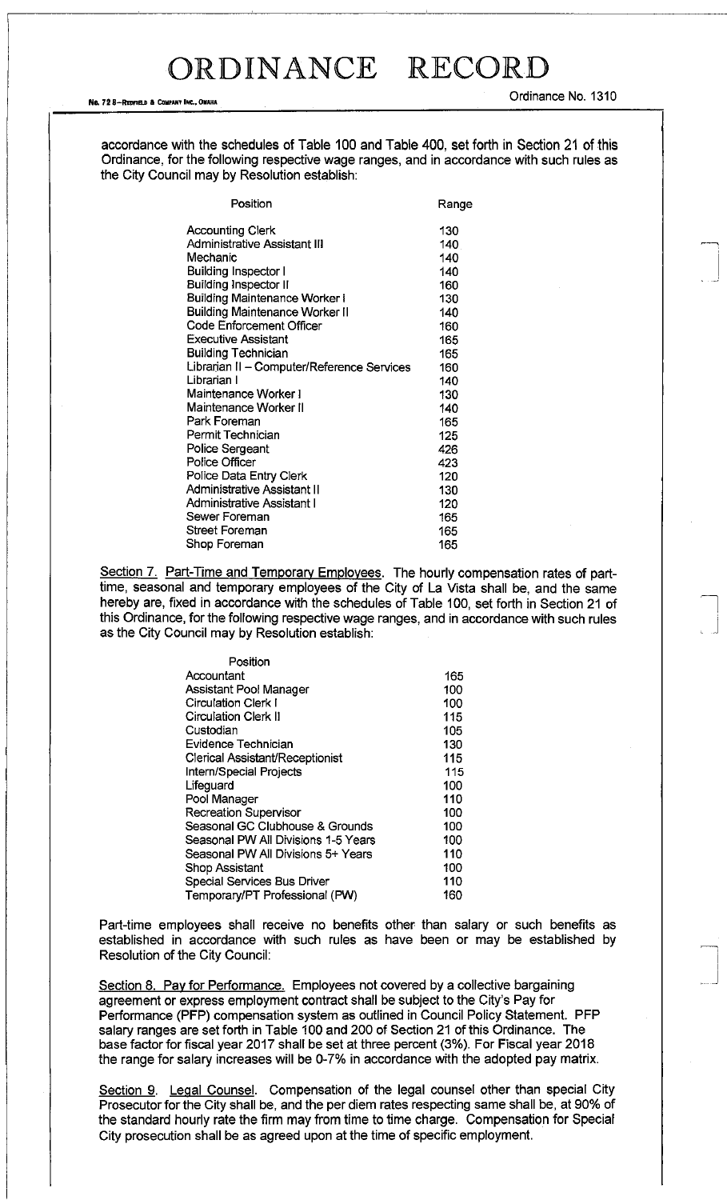#### No. 72 S-REPRELD & COMPANY INC., OMAHA

Ordinance No. 1310

accordance with the schedules of Table 100 and Table 400, set forth in Section 21 of this Ordinance, for the following respective wage ranges, and in accordance with such rules as the City Council may by Resolution establish:

| Position                                   | Range |
|--------------------------------------------|-------|
| <b>Accounting Clerk</b>                    | 130   |
| Administrative Assistant III               | 140   |
| Mechanic                                   | 140   |
| <b>Building Inspector I</b>                | 140   |
| <b>Building Inspector II</b>               | 160   |
| <b>Building Maintenance Worker I</b>       | 130   |
| <b>Building Maintenance Worker II</b>      | 140   |
| Code Enforcement Officer                   | 160   |
| <b>Executive Assistant</b>                 | 165   |
| <b>Building Technician</b>                 | 165   |
| Librarian II - Computer/Reference Services | 160   |
| Librarian I                                | 140   |
| Maintenance Worker I                       | 130   |
| Maintenance Worker II                      | 140   |
| Park Foreman                               | 165   |
| Permit Technician                          | 125   |
| <b>Police Sergeant</b>                     | 426   |
| Police Officer                             | 423   |
| Police Data Entry Clerk                    | 120   |
| Administrative Assistant II                | 130   |
| Administrative Assistant I                 | 120   |
| Sewer Foreman                              | 165   |
| <b>Street Foreman</b>                      | 165   |
| Shop Foreman                               | 165   |

Section 7. Part-Time and Temporary Employees. The hourly compensation rates of parttime, seasonal and temporary employees of the City of La Vista shall be, and the same hereby are, fixed in accordance with the schedules of Table 100, set forth in Section 21 of this Ordinance, for the following respective wage ranges, and in accordance with such rules as the City Council may by Resolution establish:

| Position                               |     |
|----------------------------------------|-----|
| Accountant                             | 165 |
| Assistant Pool Manager                 | 100 |
| Circulation Clerk I                    | 100 |
| Circulation Clerk II                   | 115 |
| Custodian                              | 105 |
| <b>Evidence Technician</b>             | 130 |
| <b>Clerical Assistant/Receptionist</b> | 115 |
| Intern/Special Projects                | 115 |
| Lifeguard                              | 100 |
| Pool Manager                           | 110 |
| <b>Recreation Supervisor</b>           | 100 |
| Seasonal GC Clubhouse & Grounds        | 100 |
| Seasonal PW All Divisions 1-5 Years    | 100 |
| Seasonal PW All Divisions 5+ Years     | 110 |
| <b>Shop Assistant</b>                  | 100 |
| <b>Special Services Bus Driver</b>     | 110 |
| Temporary/PT Professional (PW)         | 160 |

Part-time employees shall receive no benefits other than salary or such benefits as established in accordance with such rules as have been or may be established by Resolution of the City Council:

Section 8. Pay for Performance. Employees not covered by a collective bargaining agreement or express employment contract shall be subject to the City's Pay for Performance (PFP) compensation system as outlined in Council Policy Statement. PFP salary ranges are set forth in Table 100 and 200 of Section 21 of this Ordinance. The base factor for fiscal year 2017 shall be set at three percent (3%). For Fiscal year 2018 the range for salary increases will be 0-7% in accordance with the adopted pay matrix.

Section 9. Legal Counsel. Compensation of the legal counsel other than special City Prosecutor for the City shall be, and the per diem rates respecting same shall be, at 90% of the standard hourly rate the firm may from time to time charge. Compensation for Special City prosecution shall be as agreed upon at the time of specific employment.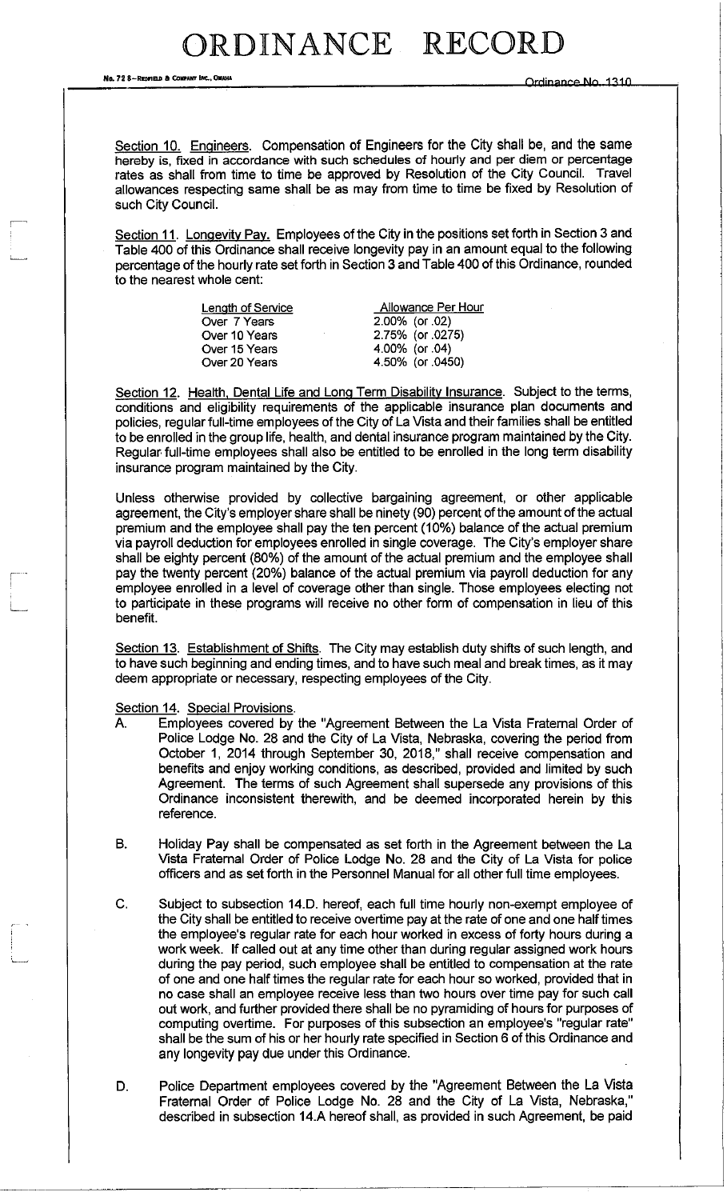No. 72 8-REpnnfl » COIPAKT !«.,OM <sup>W</sup> <sup>N</sup>R? »/SA RTIN [V|^ -)^-)N

Section 10. Engineers. Compensation of Engineers for the City shall be, and the same hereby is, fixed in accordance with such schedules of hourly and per diem or percentage rates as shall from time to time be approved by Resolution of the City Council. Travel allowances respecting same shall be as may from time to time be fixed by Resolution of such City Council.

Section 11. Longevity Pay. Employees of the City in the positions set forth in Section 3 and Table 400 of this Ordinance shall receive longevity pay in an amount equal to the following percentage of the hourly rate set forth in Section 3 and Table 400 of this Ordinance, rounded to the nearest whole cent:

| Length of Service | Allowance Per Hour |
|-------------------|--------------------|
| Over 7 Years      | 2.00% (or .02)     |
| Over 10 Years     | 2.75% (or .0275)   |
| Over 15 Years     | 4.00% (or .04)     |
| Over 20 Years     | 4.50% (or 0450)    |
|                   |                    |

Section 12. Health, Dental Life and Long Term Disability Insurance. Subject to the terms, conditions and eligibility requirements of the applicable insurance plan documents and policies, regular full-time employees of the City of La Vista and their families shall be entitled to be enrolled in the group life, health, and dental insurance program maintained by the City. Regular full-time employees shall also be entitled to be enrolled in the long term disability insurance program maintained by the City.

Unless otherwise provided by collective bargaining agreement, or other applicable agreement, the City's employer share shall be ninety (90) percent of the amount of the actual premium and the employee shall pay the ten percent (10%) balance of the actual premium via payroll deduction for employees enrolled in single coverage. The City's employer share shall be eighty percent (80%) of the amount of the actual premium and the employee shall pay the twenty percent (20%) balance of the actual premium via payroll deduction for any employee enrolled in a level of coverage other than single. Those employees electing not to participate in these programs will receive no other form of compensation in lieu of this benefit.

Section 13. Establishment of Shifts. The City may establish duty shifts of such length, and to have such beginning and ending times, and to have such meal and break times, as it may deem appropriate or necessary, respecting employees of the City.

Section 14. Special Provisions.

- A. Employees covered by the "Agreement Between the La Vista Fraternal Order of Police Lodge No. 28 and the City of La Vista, Nebraska, covering the period from October 1, 2014 through September 30, 2018," shall receive compensation and benefits and enjoy working conditions, as described, provided and limited by such Agreement. The terms of such Agreement shall supersede any provisions of this Ordinance inconsistent therewith, and be deemed incorporated herein by this reference.
- B. Holiday Pay shall be compensated as set forth in the Agreement between the La Vista Fraternal Order of Police Lodge No. 28 and the City of La Vista for police officers and as set forth in the Personnel Manual for all other full time employees.
- C. Subject to subsection 14.D. hereof, each full time hourly non-exempt employee of the City shall be entitled to receive overtime pay at the rate of one and one half times the employee's regular rate for each hour worked in excess of forty hours during a work week. If called out at any time other than during regular assigned work hours during the pay period, such employee shall be entitled to compensation at the rate of one and one half times the regular rate for each hour so worked, provided that in no case shall an employee receive less than two hours over time pay for such call out work, and further provided there shall be no pyramiding of hours for purposes of computing overtime. For purposes of this subsection an employee's "regular rate" shall be the sum of his or her hourly rate specified in Section 6 of this Ordinance and any longevity pay due under this Ordinance.
- D. Police Department employees covered by the "Agreement Between the La Vista Fraternal Order of Police Lodge No. 28 and the City of La Vista, Nebraska," described in subsection 14.A hereof shall, as provided in such Agreement, be paid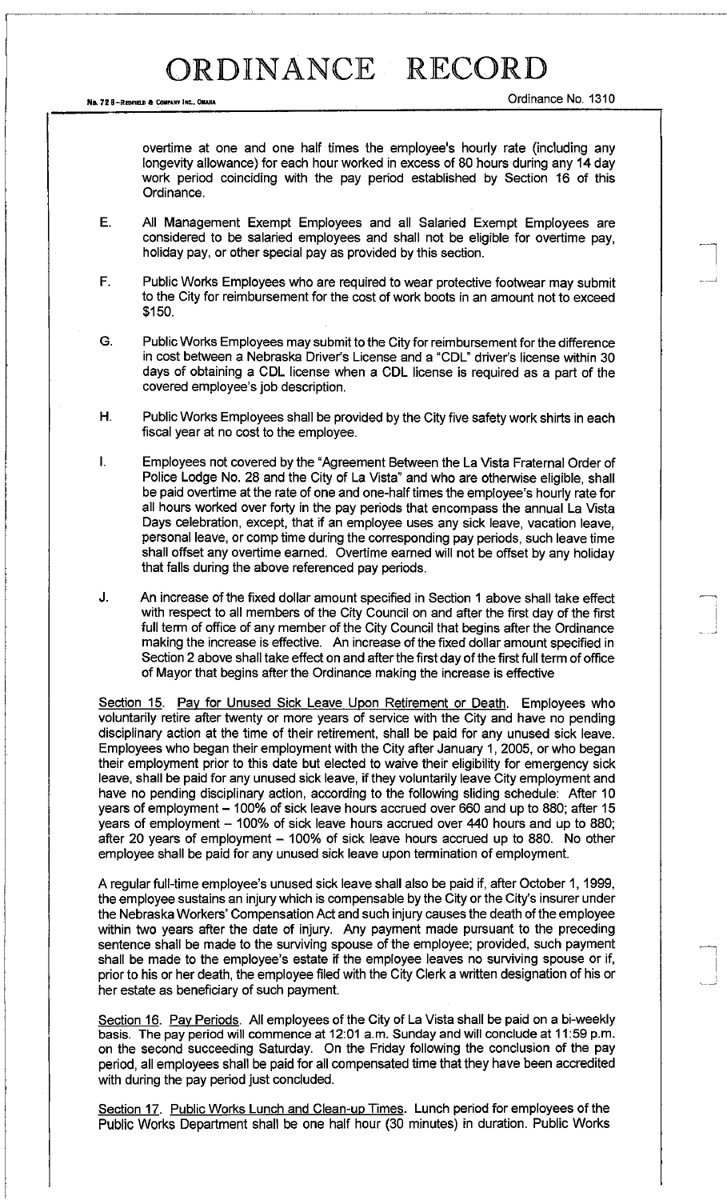overtime at one and one half times the employee's hourly rate (including any longevity allowance) for each hour worked in excess of 80 hours during any 14 day work period coinciding with the pay period established by Section 16 of this Ordinance.

- E. All Management Exempt Employees and all Salaried Exempt Employees are considered to be salaried employees and shall not be eligible for overtime pay, holiday pay, or other special pay as provided by this section.
- F. Public Works Employees who are required to wear protective footwear may submit to the City for reimbursement for the cost of work boots in an amount not to exceed \$150.
- G. Public Works Employees may submit to the City for reimbursement for the difference in cost between a Nebraska Driver's License and a "CDL" driver's license within 30 days of obtaining a CDL license when a CDL license is required as a part of the covered employee's job description.
- H. Public Works Employees shall be provided by the City five safety work shirts in each fiscal year at no cost to the employee.
- I. Employees not covered by the "Agreement Between the La Vista Fraternal Order of Police Lodge No. 28 and the City of La Vista" and who are otherwise eligible, shall be paid overtime at the rate of one and one-half times the employee's hourly rate for all hours worked over forty in the pay periods that encompass the annual La Vista Days celebration, except, that if an employee uses any sick leave, vacation leave, personal leave, or comp time during the corresponding pay periods, such leave time shall offset any overtime earned. Overtime earned will not be offset by any holiday that falls during the above referenced pay periods.
- J. An increase of the fixed dollar amount specified in Section 1 above shall take effect with respect to all members of the City Council on and after the first day of the first full term of office of any member of the City Council that begins after the Ordinance making the increase is effective. An increase of the fixed dollar amount specified in Section 2 above shall take effect on and after the first day of the first full term of office of Mayor that begins after the Ordinance making the increase is effective

Section 15. Pay for Unused Sick Leave Upon Retirement or Death. Employees who voluntarily retire after twenty or more years of service with the City and have no pending disciplinary action at the time of their retirement, shall be paid for any unused sick leave. Employees who began their employment with the City after January 1, 2005, or who began their employment prior to this date but elected to waive their eligibility for emergency sick leave, shall be paid for any unused sick leave, if they voluntarily leave City employment and have no pending disciplinary action, according to the following sliding schedule: After 10 years of employment – 100% of sick leave hours accrued over 660 and up to 880; after 15 years of employment – 100% of sick leave hours accrued over 440 hours and up to 880; after 20 years of employment - 100% of sick leave hours accrued up to 880. No other employee shall be paid for any unused sick leave upon termination of employment.

A regular full-time employee's unused sick leave shall also be paid if, after October 1,1999, the employee sustains an injury which is compensable by the City or the City's insurer under the Nebraska Workers' Compensation Act and such injury causes the death of the employee within two years after the date of injury. Any payment made pursuant to the preceding sentence shall be made to the surviving spouse of the employee; provided, such payment shall be made to the employee's estate if the employee leaves no surviving spouse or if, prior to his or her death, the employee filed with the City Clerk a written designation of his or her estate as beneficiary of such payment.

Section 16. Pay Periods. All employees of the City of La Vista shall be paid on a bi-weekly basis. The pay period will commence at 12:01 a.m. Sunday and will conclude at 11:59 p.m. on the second succeeding Saturday. On the Friday following the conclusion of the pay period, all employees shall be paid for all compensated time that they have been accredited with during the pay period just concluded.

Section 17. Public Works Lunch and Clean-up Times. Lunch period for employees of the Public Works Department shall be one half hour (30 minutes) in duration. Public Works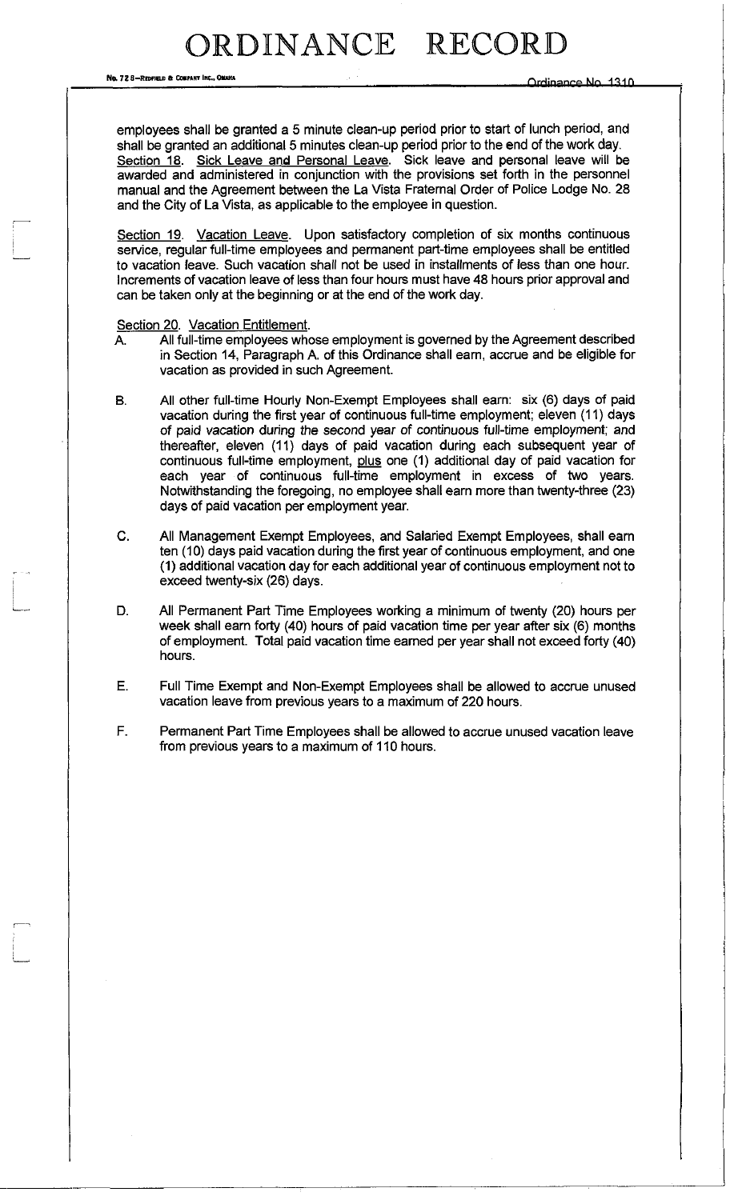No. 728-REDFIELD & COMPANY INC.. OMAKA

employees shall be granted a 5 minute clean-up period prior to start of lunch period, and shall be granted an additional 5 minutes clean-up period prior to the end of the work day. Section 18. Sick Leave and Personal Leave. Sick leave and personal leave will be awarded and administered in conjunction with the provisions set forth in the personnel manual and the Agreement between the La Vista Fraternal Order of Police Lodge No. 28 and the City of La Vista, as applicable to the employee in question.

Section 19. Vacation Leave. Upon satisfactory completion of six months continuous service, regular full-time employees and permanent part-time employees shall be entitled to vacation leave. Such vacation shall not be used in installments of less than one hour. Increments of vacation leave of less than four hours must have 48 hours prior approval and can be taken only at the beginning or at the end of the work day.

Section 20. Vacation Entitlement.

- A. All full-time employees whose employment is governed by the Agreement described in Section 14, Paragraph A. of this Ordinance shall earn, accrue and be eligible for vacation as provided in such Agreement.
- B. All other full-time Hourly Non-Exempt Employees shall earn: six (6) days of paid vacation during the first year of continuous full-time employment; eleven (11) days of paid vacation during the second year of continuous full-time employment; and thereafter, eleven (11) days of paid vacation during each subsequent year of continuous full-time employment, plus one (1) additional day of paid vacation for each year of continuous full-time employment in excess of two years. Notwithstanding the foregoing, no employee shall earn more than twenty-three (23) days of paid vacation per employment year.
- C. All Management Exempt Employees, and Salaried Exempt Employees, shall earn ten (10) days paid vacation during the first year of continuous employment, and one (1) additional vacation day for each additional year of continuous employment not to exceed twenty-six (26) days.
- D. All Permanent Part Time Employees working a minimum of twenty (20) hours per week shall earn forty (40) hours of paid vacation time per year after six (6) months of employment. Total paid vacation time earned per year shall not exceed forty (40) hours.
- E. Full Time Exempt and Non-Exempt Employees shall be allowed to accrue unused vacation leave from previous years to a maximum of 220 hours.
- F. Permanent Part Time Employees shall be allowed to accrue unused vacation leave from previous years to a maximum of 110 hours.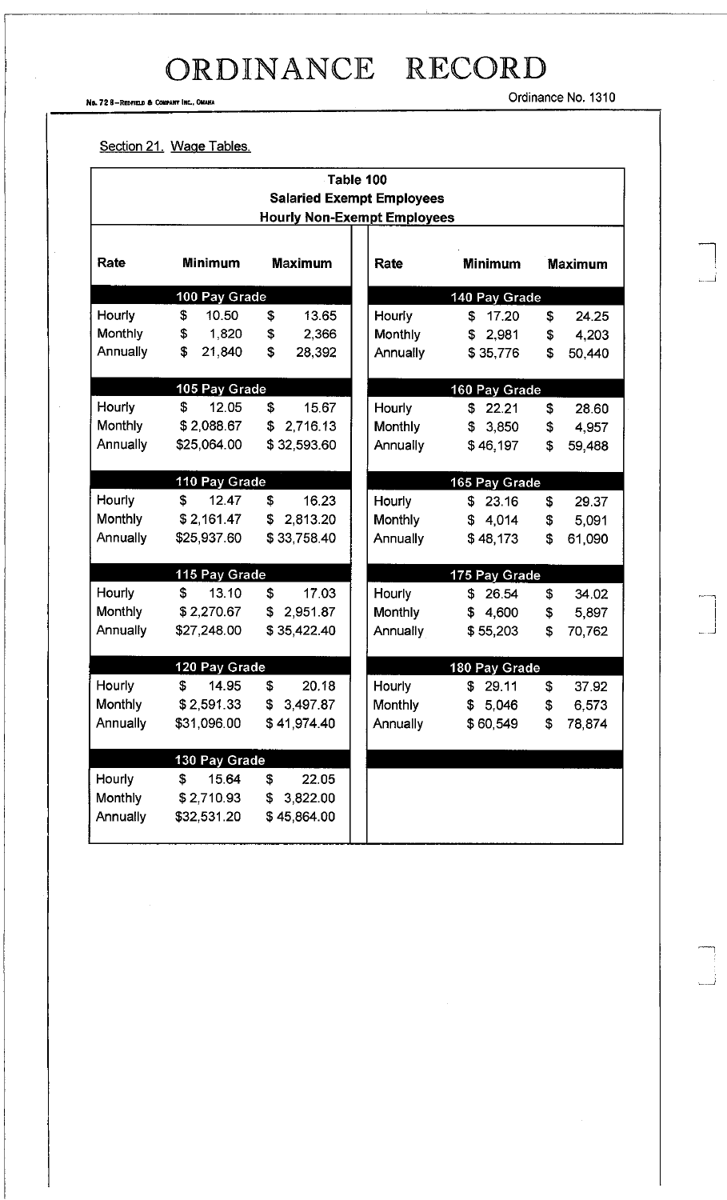No. 72 8-REDFIELD & COMPANY INC., OMAHA

Ordinance No. 1310

#### Section 21. Wage Tables.

|                                                                        | Table 100      |                            |                |                |                |  |
|------------------------------------------------------------------------|----------------|----------------------------|----------------|----------------|----------------|--|
| <b>Salaried Exempt Employees</b><br><b>Hourly Non-Exempt Employees</b> |                |                            |                |                |                |  |
|                                                                        |                |                            |                |                |                |  |
| <b>Rate</b>                                                            | <b>Minimum</b> | <b>Maximum</b>             | Rate           | <b>Minimum</b> | <b>Maximum</b> |  |
|                                                                        | 100 Pay Grade  |                            | 140 Pay Grade  |                |                |  |
| Hourly                                                                 | \$<br>10.50    | S<br>13.65                 | Hourly         | 17.20<br>\$    | \$<br>24.25    |  |
| Monthly                                                                | \$<br>1,820    | \$<br>2,366                | <b>Monthly</b> | \$2,981        | 4,203<br>\$    |  |
| Annually                                                               | \$<br>21,840   | \$<br>28,392               | Annually       | \$35,776       | \$<br>50,440   |  |
|                                                                        | 105 Pay Grade  |                            | 160 Pay Grade  |                |                |  |
| Hourly                                                                 | \$<br>12.05    | \$<br>15.67                | Hourly         | \$<br>22.21    | \$<br>28.60    |  |
| Monthly                                                                | \$2,088.67     | 2,716.13<br>$\mathfrak{F}$ | <b>Monthly</b> | \$3,850        | \$<br>4,957    |  |
| Annually                                                               | \$25,064.00    | \$32,593.60                | Annually       | \$46,197       | \$<br>59,488   |  |
|                                                                        | 110 Pay Grade  |                            | 165 Pay Grade  |                |                |  |
| Hourly                                                                 | \$<br>12.47    | \$<br>16.23                | Hourly         | \$<br>23.16    | \$<br>29.37    |  |
| Monthly                                                                | \$2,161.47     | \$<br>2,813.20             | Monthly        | \$4,014        | 5,091<br>\$    |  |
| Annually                                                               | \$25,937.60    | \$33,758.40                | Annually       | \$48,173       | \$<br>61,090   |  |
|                                                                        | 115 Pay Grade  |                            |                | 175 Pay Grade  |                |  |
| Hourly                                                                 | \$<br>13.10    | \$<br>17.03                | Hourly         | \$<br>26.54    | \$<br>34.02    |  |
| Monthly                                                                | \$2,270.67     | 2,951.87<br>\$             | <b>Monthly</b> | \$<br>4,600    | \$<br>5,897    |  |
| Annually                                                               | \$27,248.00    | \$35,422.40                | Annually       | \$55,203       | \$<br>70,762   |  |
|                                                                        | 120 Pay Grade  |                            |                | 180 Pay Grade  |                |  |
| Hourly                                                                 | \$<br>14.95    | \$<br>20.18                | Hourly         | 29.11<br>\$    | \$<br>37.92    |  |
| Monthly                                                                | \$2,591.33     | \$3,497.87                 | Monthly        | \$5,046        | \$<br>6,573    |  |
| Annually                                                               | \$31,096.00    | \$41,974.40                | Annually       | \$60,549       | 78,874<br>\$   |  |
|                                                                        | 130 Pay Grade  |                            |                |                |                |  |
| Hourly                                                                 | \$<br>15.64    | \$<br>22.05                |                |                |                |  |
| Monthly                                                                | \$2,710.93     | \$3,822.00                 |                |                |                |  |
| Annually                                                               | \$32,531.20    | \$45,864.00                |                |                |                |  |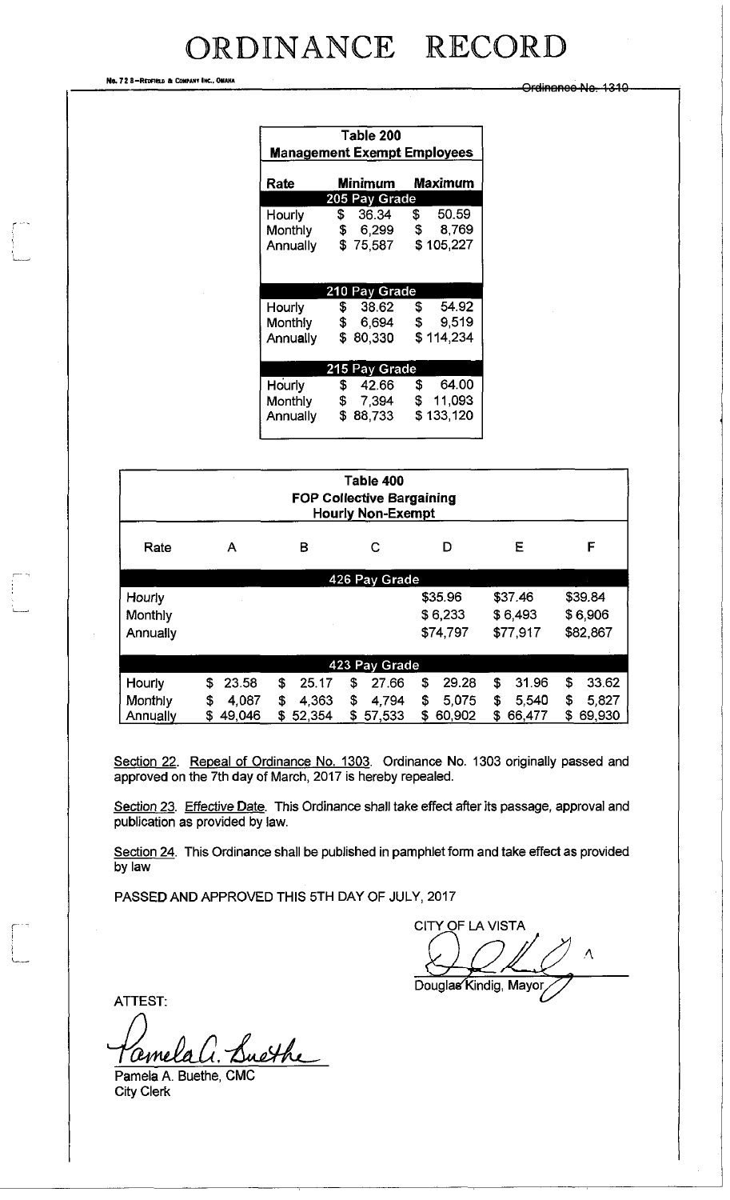No. 72 8-REDFIELD & COMPANY INC., OMAHA

Ordinanoo No. 1310

| Table 200<br><b>Management Exempt Employees</b> |                           |                            |  |
|-------------------------------------------------|---------------------------|----------------------------|--|
| Rate                                            | Minimum<br><b>Maximum</b> |                            |  |
|                                                 | 205 Pay Grade             |                            |  |
| Hourly                                          | \$ 36.34                  | \$50.59                    |  |
| Monthly                                         | \$ 6,299 \$               | 8.769                      |  |
| Annually                                        | \$75,587                  | \$105,227                  |  |
|                                                 |                           |                            |  |
|                                                 | 210 Pay Grade             |                            |  |
| Hourly                                          | $\sqrt{S}$<br>38.62       | \$54.92                    |  |
| Monthly                                         | - SP –<br>6,694           | 9,519<br>$\mathfrak s$     |  |
| Annually                                        | \$80,330                  | \$114,234                  |  |
|                                                 |                           |                            |  |
|                                                 | 215 Pay Grade             |                            |  |
| Hourly                                          | <b>\$</b><br>42.66        | 64.00<br>\$                |  |
| Monthly                                         | 7,394<br>- \$             | $\mathfrak{S}^-$<br>11,093 |  |
| Annually                                        | \$.<br>88,733             | \$133,120                  |  |
|                                                 |                           |                            |  |

| Table 400<br><b>FOP Collective Bargaining</b><br><b>Hourly Non-Exempt</b> |              |             |              |              |             |             |
|---------------------------------------------------------------------------|--------------|-------------|--------------|--------------|-------------|-------------|
| Rate                                                                      | А            | B           | С            | D            | Ε           | F           |
| 426 Pay Grade                                                             |              |             |              |              |             |             |
| Hourly                                                                    |              |             |              | \$35.96      | \$37.46     | \$39.84     |
| Monthly                                                                   |              |             |              | \$6,233      | \$6,493     | \$6,906     |
| Annually                                                                  |              |             |              | \$74,797     | \$77,917    | \$82,867    |
| 423 Pay Grade                                                             |              |             |              |              |             |             |
| Hourly                                                                    | \$<br>23.58  | \$<br>25.17 | \$<br>27.66  | \$<br>29.28  | 31.96<br>\$ | S<br>33.62  |
| Monthly                                                                   | 4.087<br>\$  | \$<br>4,363 | \$<br>4,794  | \$<br>5,075  | 5,540<br>\$ | \$<br>5,827 |
| Annually                                                                  | 49,046<br>\$ | 52,354<br>S | \$<br>57,533 | 60,902<br>\$ | 66,477<br>S | 69,930<br>s |

Section 22. Repeal of Ordinance No. 1303. Ordinance No. 1303 originally passed and approved on the 7th day of March, 2017 is hereby repealed.

Section 23. Effective Date. This Ordinance shall take effect after its passage, approval and publication as provided by law.

Section 24. This Ordinance shall be published in pamphlet form and take effect as provided by law

PASSED AND APPROVED THIS 5TH DAY OF JULY, 2017

CITY OF LA VISTA

A Douglas Kindig, Mayor,

ATTEST:

Pamela A. Buethe, CMC

City Clerk